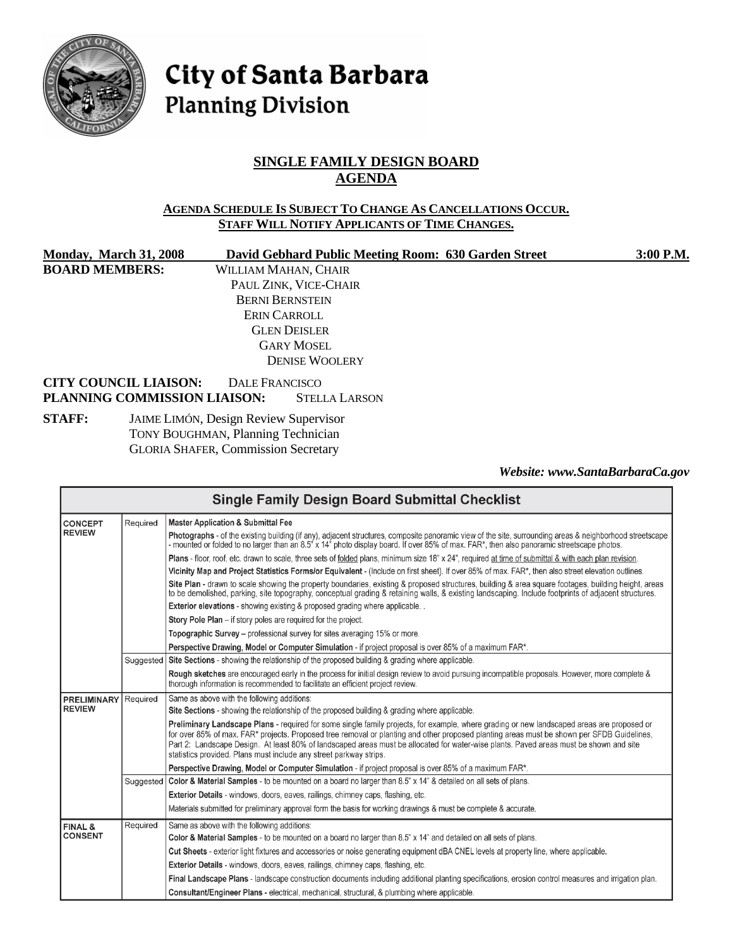

# City of Santa Barbara **Planning Division**

# **SINGLE FAMILY DESIGN BOARD AGENDA**

#### **AGENDA SCHEDULE IS SUBJECT TO CHANGE AS CANCELLATIONS OCCUR. STAFF WILL NOTIFY APPLICANTS OF TIME CHANGES.**

| <b>Monday, March 31, 2008</b> | David Gebhard Public Meeting Room: 630 Garden Street | 3:00 P.M. |
|-------------------------------|------------------------------------------------------|-----------|
| <b>BOARD MEMBERS:</b>         | WILLIAM MAHAN, CHAIR                                 |           |
|                               | PAUL ZINK, VICE-CHAIR                                |           |
|                               | <b>BERNI BERNSTEIN</b>                               |           |
|                               | ERIN CARROLL                                         |           |
|                               | <b>GLEN DEISLER</b>                                  |           |
|                               | <b>GARY MOSEL</b>                                    |           |
|                               | <b>DENISE WOOLERY</b>                                |           |
| <b>CITY COUNCIL LIAISON:</b>  | DALE FRANCISCO                                       |           |
| PLANNING COMMISSION LIAISON:  | <b>STELLA LARSON</b>                                 |           |
| CTA FR.                       | Ling Lucar Deciam Deviser Companies                  |           |

**STAFF:** JAIME LIMÓN, Design Review Supervisor TONY BOUGHMAN, Planning Technician GLORIA SHAFER, Commission Secretary

*Website: www.SantaBarbaraCa.gov* 

| <b>Single Family Design Board Submittal Checklist</b>              |                                                                                                                                        |                                                                                                                                                                                                                                                                                                                                                                                                                                                                                                          |  |
|--------------------------------------------------------------------|----------------------------------------------------------------------------------------------------------------------------------------|----------------------------------------------------------------------------------------------------------------------------------------------------------------------------------------------------------------------------------------------------------------------------------------------------------------------------------------------------------------------------------------------------------------------------------------------------------------------------------------------------------|--|
| Required<br><b>CONCEPT</b>                                         |                                                                                                                                        | <b>Master Application &amp; Submittal Fee</b>                                                                                                                                                                                                                                                                                                                                                                                                                                                            |  |
| <b>REVIEW</b>                                                      |                                                                                                                                        | Photographs - of the existing building (if any), adjacent structures, composite panoramic view of the site, surrounding areas & neighborhood streetscape<br>- mounted or folded to no larger than an 8.5" x 14" photo display board. If over 85% of max. FAR*, then also panoramic streetscape photos.                                                                                                                                                                                                   |  |
|                                                                    |                                                                                                                                        | Plans - floor, roof, etc. drawn to scale, three sets of folded plans, minimum size 18" x 24", required at time of submittal & with each plan revision.                                                                                                                                                                                                                                                                                                                                                   |  |
|                                                                    |                                                                                                                                        | Vicinity Map and Project Statistics Forms/or Equivalent - (Include on first sheet). If over 85% of max. FAR*, then also street elevation outlines.                                                                                                                                                                                                                                                                                                                                                       |  |
|                                                                    |                                                                                                                                        | Site Plan - drawn to scale showing the property boundaries, existing & proposed structures, building & area square footages, building height, areas<br>to be demolished, parking, site topography, conceptual grading & retaining walls, & existing landscaping. Include footprints of adjacent structures.                                                                                                                                                                                              |  |
|                                                                    |                                                                                                                                        | <b>Exterior elevations</b> - showing existing & proposed grading where applicable                                                                                                                                                                                                                                                                                                                                                                                                                        |  |
|                                                                    |                                                                                                                                        | Story Pole Plan – if story poles are required for the project.                                                                                                                                                                                                                                                                                                                                                                                                                                           |  |
|                                                                    |                                                                                                                                        | Topographic Survey - professional survey for sites averaging 15% or more.                                                                                                                                                                                                                                                                                                                                                                                                                                |  |
|                                                                    | Perspective Drawing, Model or Computer Simulation - if project proposal is over 85% of a maximum FAR*.                                 |                                                                                                                                                                                                                                                                                                                                                                                                                                                                                                          |  |
|                                                                    | Suggested                                                                                                                              | Site Sections - showing the relationship of the proposed building & grading where applicable.                                                                                                                                                                                                                                                                                                                                                                                                            |  |
|                                                                    |                                                                                                                                        | Rough sketches are encouraged early in the process for initial design review to avoid pursuing incompatible proposals. However, more complete &<br>thorough information is recommended to facilitate an efficient project review.                                                                                                                                                                                                                                                                        |  |
| <b>PRELIMINARY</b>                                                 | Required                                                                                                                               | Same as above with the following additions:                                                                                                                                                                                                                                                                                                                                                                                                                                                              |  |
| <b>REVIEW</b>                                                      |                                                                                                                                        | Site Sections - showing the relationship of the proposed building & grading where applicable.                                                                                                                                                                                                                                                                                                                                                                                                            |  |
|                                                                    |                                                                                                                                        | Preliminary Landscape Plans - required for some single family projects, for example, where grading or new landscaped areas are proposed or<br>for over 85% of max. FAR* projects. Proposed tree removal or planting and other proposed planting areas must be shown per SFDB Guidelines,<br>Part 2: Landscape Design. At least 80% of landscaped areas must be allocated for water-wise plants. Paved areas must be shown and site<br>statistics provided. Plans must include any street parkway strips. |  |
| Suggested                                                          |                                                                                                                                        | Perspective Drawing, Model or Computer Simulation - if project proposal is over 85% of a maximum FAR*.                                                                                                                                                                                                                                                                                                                                                                                                   |  |
|                                                                    |                                                                                                                                        | Color & Material Samples - to be mounted on a board no larger than 8.5" x 14" & detailed on all sets of plans.                                                                                                                                                                                                                                                                                                                                                                                           |  |
|                                                                    |                                                                                                                                        | Exterior Details - windows, doors, eaves, railings, chimney caps, flashing, etc.                                                                                                                                                                                                                                                                                                                                                                                                                         |  |
|                                                                    |                                                                                                                                        | Materials submitted for preliminary approval form the basis for working drawings & must be complete & accurate.                                                                                                                                                                                                                                                                                                                                                                                          |  |
| Same as above with the following additions:<br>Required<br>FINAL & |                                                                                                                                        |                                                                                                                                                                                                                                                                                                                                                                                                                                                                                                          |  |
| <b>CONSENT</b>                                                     |                                                                                                                                        | Color & Material Samples - to be mounted on a board no larger than 8.5" x 14" and detailed on all sets of plans.                                                                                                                                                                                                                                                                                                                                                                                         |  |
|                                                                    | Cut Sheets - exterior light fixtures and accessories or noise generating equipment dBA CNEL levels at property line, where applicable. |                                                                                                                                                                                                                                                                                                                                                                                                                                                                                                          |  |
|                                                                    |                                                                                                                                        | Exterior Details - windows, doors, eaves, railings, chimney caps, flashing, etc.                                                                                                                                                                                                                                                                                                                                                                                                                         |  |
|                                                                    |                                                                                                                                        | Final Landscape Plans - landscape construction documents including additional planting specifications, erosion control measures and irrigation plan.                                                                                                                                                                                                                                                                                                                                                     |  |
|                                                                    |                                                                                                                                        | Consultant/Engineer Plans - electrical, mechanical, structural, & plumbing where applicable.                                                                                                                                                                                                                                                                                                                                                                                                             |  |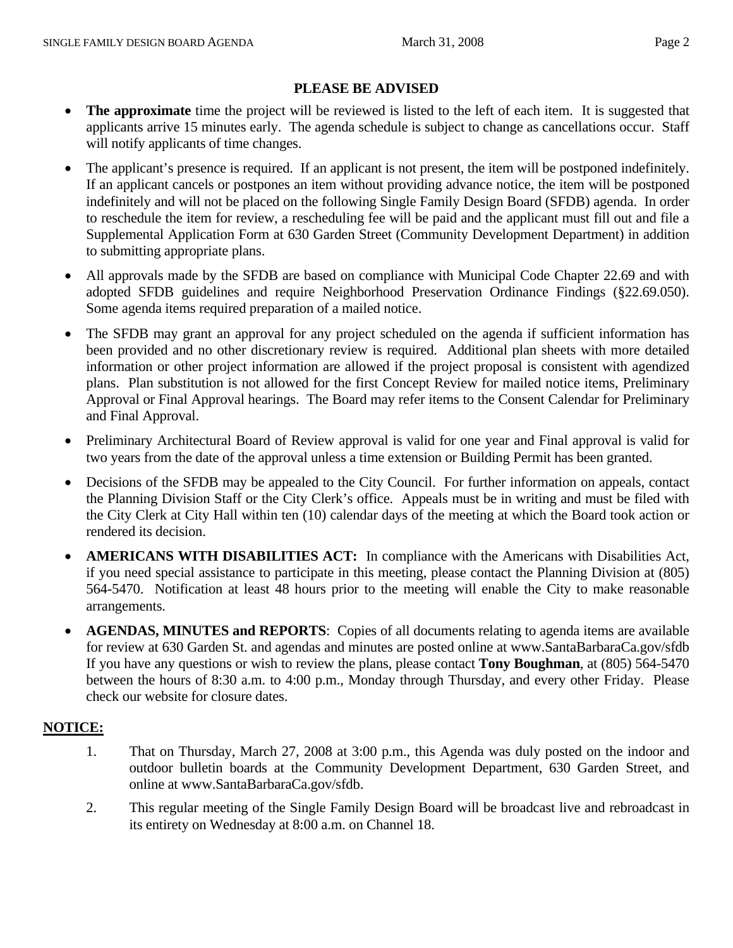## **PLEASE BE ADVISED**

- **The approximate** time the project will be reviewed is listed to the left of each item. It is suggested that applicants arrive 15 minutes early. The agenda schedule is subject to change as cancellations occur. Staff will notify applicants of time changes.
- The applicant's presence is required. If an applicant is not present, the item will be postponed indefinitely. If an applicant cancels or postpones an item without providing advance notice, the item will be postponed indefinitely and will not be placed on the following Single Family Design Board (SFDB) agenda. In order to reschedule the item for review, a rescheduling fee will be paid and the applicant must fill out and file a Supplemental Application Form at 630 Garden Street (Community Development Department) in addition to submitting appropriate plans.
- All approvals made by the SFDB are based on compliance with Municipal Code Chapter 22.69 and with adopted SFDB guidelines and require Neighborhood Preservation Ordinance Findings (§22.69.050). Some agenda items required preparation of a mailed notice.
- The SFDB may grant an approval for any project scheduled on the agenda if sufficient information has been provided and no other discretionary review is required. Additional plan sheets with more detailed information or other project information are allowed if the project proposal is consistent with agendized plans. Plan substitution is not allowed for the first Concept Review for mailed notice items, Preliminary Approval or Final Approval hearings. The Board may refer items to the Consent Calendar for Preliminary and Final Approval.
- Preliminary Architectural Board of Review approval is valid for one year and Final approval is valid for two years from the date of the approval unless a time extension or Building Permit has been granted.
- Decisions of the SFDB may be appealed to the City Council. For further information on appeals, contact the Planning Division Staff or the City Clerk's office. Appeals must be in writing and must be filed with the City Clerk at City Hall within ten (10) calendar days of the meeting at which the Board took action or rendered its decision.
- **AMERICANS WITH DISABILITIES ACT:** In compliance with the Americans with Disabilities Act, if you need special assistance to participate in this meeting, please contact the Planning Division at (805) 564-5470. Notification at least 48 hours prior to the meeting will enable the City to make reasonable arrangements.
- **AGENDAS, MINUTES and REPORTS**: Copies of all documents relating to agenda items are available for review at 630 Garden St. and agendas and minutes are posted online at www.SantaBarbaraCa.gov/sfdb If you have any questions or wish to review the plans, please contact **Tony Boughman**, at (805) 564-5470 between the hours of 8:30 a.m. to 4:00 p.m., Monday through Thursday, and every other Friday. Please check our website for closure dates.

## **NOTICE:**

- 1. That on Thursday, March 27, 2008 at 3:00 p.m., this Agenda was duly posted on the indoor and outdoor bulletin boards at the Community Development Department, 630 Garden Street, and online at www.SantaBarbaraCa.gov/sfdb.
- 2. This regular meeting of the Single Family Design Board will be broadcast live and rebroadcast in its entirety on Wednesday at 8:00 a.m. on Channel 18.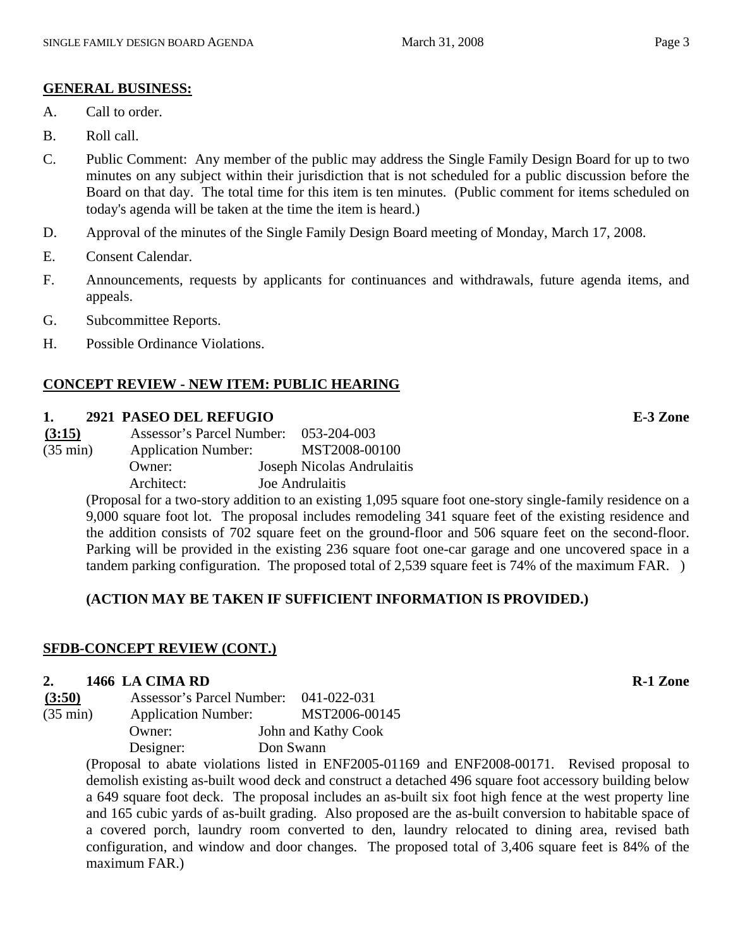## **GENERAL BUSINESS:**

- A. Call to order.
- B. Roll call.
- C. Public Comment: Any member of the public may address the Single Family Design Board for up to two minutes on any subject within their jurisdiction that is not scheduled for a public discussion before the Board on that day. The total time for this item is ten minutes. (Public comment for items scheduled on today's agenda will be taken at the time the item is heard.)
- D. Approval of the minutes of the Single Family Design Board meeting of Monday, March 17, 2008.
- E. Consent Calendar.
- F. Announcements, requests by applicants for continuances and withdrawals, future agenda items, and appeals.
- G. Subcommittee Reports.
- H. Possible Ordinance Violations.

## **CONCEPT REVIEW - NEW ITEM: PUBLIC HEARING**

#### **1. 2921 PASEO DEL REFUGIO E-3 Zone**

| (3:15)             | Assessor's Parcel Number:  | 053-204-003                |
|--------------------|----------------------------|----------------------------|
| $(35 \text{ min})$ | <b>Application Number:</b> | MST2008-00100              |
|                    | Owner:                     | Joseph Nicolas Andrulaitis |
|                    | Architect:                 | Joe Andrulaitis            |

(Proposal for a two-story addition to an existing 1,095 square foot one-story single-family residence on a 9,000 square foot lot. The proposal includes remodeling 341 square feet of the existing residence and the addition consists of 702 square feet on the ground-floor and 506 square feet on the second-floor. Parking will be provided in the existing 236 square foot one-car garage and one uncovered space in a tandem parking configuration. The proposed total of 2,539 square feet is 74% of the maximum FAR. )

## **(ACTION MAY BE TAKEN IF SUFFICIENT INFORMATION IS PROVIDED.)**

#### **SFDB-CONCEPT REVIEW (CONT.)**

#### **2. 1466 LA CIMA RD R-1 Zone**

| (3:50)             | Assessor's Parcel Number:  | 041-022-031         |
|--------------------|----------------------------|---------------------|
| $(35 \text{ min})$ | <b>Application Number:</b> | MST2006-00145       |
|                    | Owner:                     | John and Kathy Cook |
|                    | Designer:                  | Don Swann           |

(Proposal to abate violations listed in ENF2005-01169 and ENF2008-00171. Revised proposal to demolish existing as-built wood deck and construct a detached 496 square foot accessory building below a 649 square foot deck. The proposal includes an as-built six foot high fence at the west property line and 165 cubic yards of as-built grading. Also proposed are the as-built conversion to habitable space of a covered porch, laundry room converted to den, laundry relocated to dining area, revised bath configuration, and window and door changes. The proposed total of 3,406 square feet is 84% of the maximum FAR.)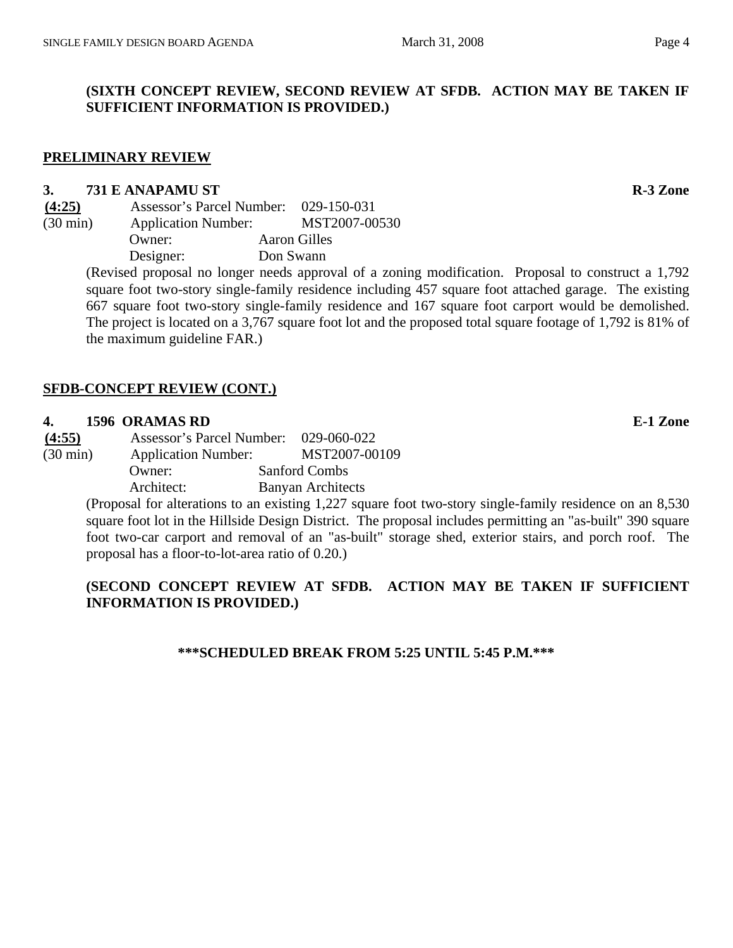## **(SIXTH CONCEPT REVIEW, SECOND REVIEW AT SFDB. ACTION MAY BE TAKEN IF SUFFICIENT INFORMATION IS PROVIDED.)**

#### **PRELIMINARY REVIEW**

#### **3. 731 E ANAPAMU ST** R-3 Zone

**(4:25)** Assessor's Parcel Number: 029-150-031 (30 min) Application Number: MST2007-00530 Owner: Aaron Gilles Designer: Don Swann

(Revised proposal no longer needs approval of a zoning modification. Proposal to construct a 1,792 square foot two-story single-family residence including 457 square foot attached garage. The existing 667 square foot two-story single-family residence and 167 square foot carport would be demolished. The project is located on a 3,767 square foot lot and the proposed total square footage of 1,792 is 81% of the maximum guideline FAR.)

#### **SFDB-CONCEPT REVIEW (CONT.)**

#### **4. 1596 ORAMAS RD E-1 Zone**

**(4:55)** Assessor's Parcel Number: 029-060-022 (30 min) Application Number: MST2007-00109 Owner: Sanford Combs

Architect: Banyan Architects

(Proposal for alterations to an existing 1,227 square foot two-story single-family residence on an 8,530 square foot lot in the Hillside Design District. The proposal includes permitting an "as-built" 390 square foot two-car carport and removal of an "as-built" storage shed, exterior stairs, and porch roof. The proposal has a floor-to-lot-area ratio of 0.20.)

## **(SECOND CONCEPT REVIEW AT SFDB. ACTION MAY BE TAKEN IF SUFFICIENT INFORMATION IS PROVIDED.)**

#### **\*\*\*SCHEDULED BREAK FROM 5:25 UNTIL 5:45 P.M.\*\*\***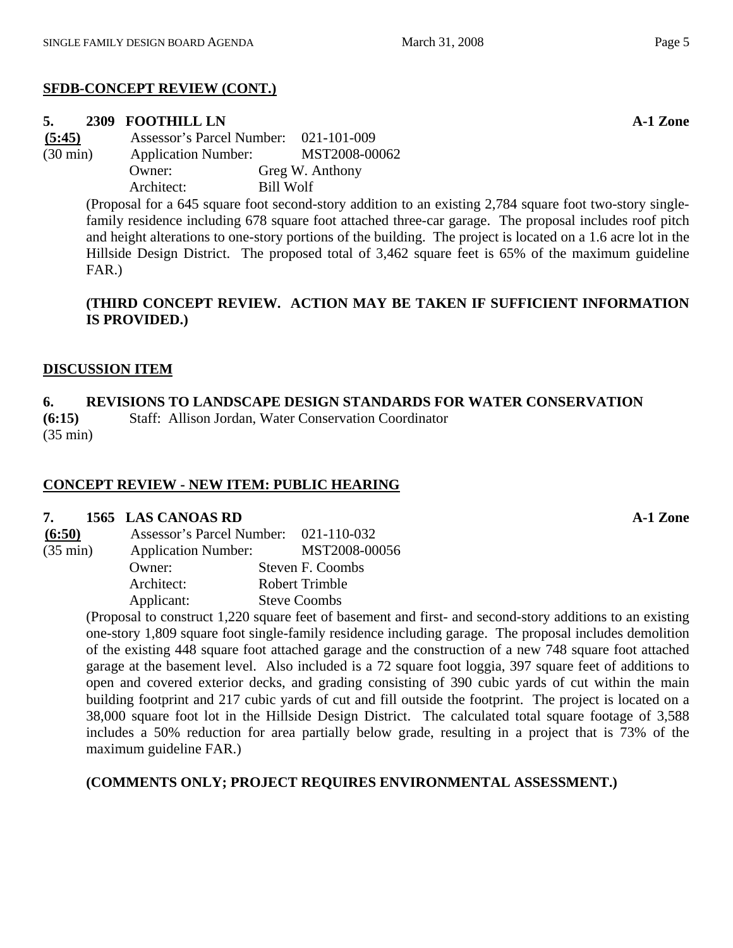# **SFDB-CONCEPT REVIEW (CONT.)**

# **5. 2309 FOOTHILL LN A-1 Zone**

**(5:45)** Assessor's Parcel Number: 021-101-009 (30 min) Application Number: MST2008-00062 Owner: Greg W. Anthony Architect: Bill Wolf

> (Proposal for a 645 square foot second-story addition to an existing 2,784 square foot two-story singlefamily residence including 678 square foot attached three-car garage. The proposal includes roof pitch and height alterations to one-story portions of the building. The project is located on a 1.6 acre lot in the Hillside Design District. The proposed total of 3,462 square feet is 65% of the maximum guideline FAR.)

# **(THIRD CONCEPT REVIEW. ACTION MAY BE TAKEN IF SUFFICIENT INFORMATION IS PROVIDED.)**

# **DISCUSSION ITEM**

# **6. REVISIONS TO LANDSCAPE DESIGN STANDARDS FOR WATER CONSERVATION**

**(6:15)** Staff: Allison Jordan, Water Conservation Coordinator (35 min)

# **CONCEPT REVIEW - NEW ITEM: PUBLIC HEARING**

## **7. 1565 LAS CANOAS RD A-1 Zone**

| (6:50)             | Assessor's Parcel Number: 021-110-032 |                       |
|--------------------|---------------------------------------|-----------------------|
| $(35 \text{ min})$ | <b>Application Number:</b>            | MST2008-00056         |
|                    | Owner:                                | Steven F. Coombs      |
|                    | Architect:                            | <b>Robert Trimble</b> |
|                    | Applicant:                            | <b>Steve Coombs</b>   |

(Proposal to construct 1,220 square feet of basement and first- and second-story additions to an existing one-story 1,809 square foot single-family residence including garage. The proposal includes demolition of the existing 448 square foot attached garage and the construction of a new 748 square foot attached garage at the basement level. Also included is a 72 square foot loggia, 397 square feet of additions to open and covered exterior decks, and grading consisting of 390 cubic yards of cut within the main building footprint and 217 cubic yards of cut and fill outside the footprint. The project is located on a 38,000 square foot lot in the Hillside Design District. The calculated total square footage of 3,588 includes a 50% reduction for area partially below grade, resulting in a project that is 73% of the maximum guideline FAR.)

# **(COMMENTS ONLY; PROJECT REQUIRES ENVIRONMENTAL ASSESSMENT.)**